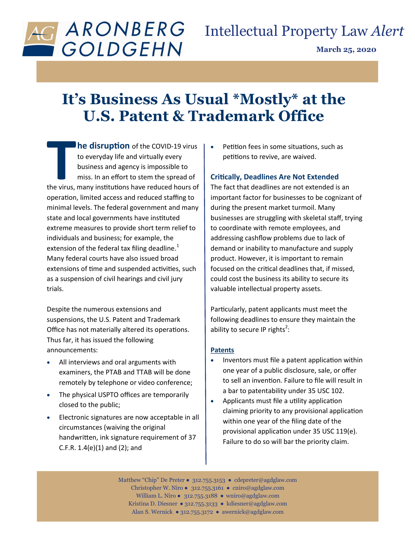

# Intellectual Property Law *Alert*

**March 25, 2020**

## **It's Business As Usual \*Mostly\* at the U.S. Patent & Trademark Office**

**The disruption** of the COVID-19 virus<br>to everyday life and virtually every<br>business and agency is impossible to<br>miss. In an effort to stem the spread of<br>the virus, many institutions have reduced hours of **he disruption** of the COVID-19 virus to everyday life and virtually every business and agency is impossible to miss. In an effort to stem the spread of operation, limited access and reduced staffing to minimal levels. The federal government and many state and local governments have instituted extreme measures to provide short term relief to individuals and business; for example, the extension of the federal tax filing deadline.<sup>1</sup> Many federal courts have also issued broad extensions of time and suspended activities, such as a suspension of civil hearings and civil jury trials.

Despite the numerous extensions and suspensions, the U.S. Patent and Trademark Office has not materially altered its operations. Thus far, it has issued the following announcements:

- All interviews and oral arguments with examiners, the PTAB and TTAB will be done remotely by telephone or video conference;
- The physical USPTO offices are temporarily closed to the public;
- Electronic signatures are now acceptable in all circumstances (waiving the original handwritten, ink signature requirement of 37 C.F.R.  $1.4(e)(1)$  and  $(2)$ ; and

 Petition fees in some situations, such as petitions to revive, are waived.

## **Critically, Deadlines Are Not Extended**

The fact that deadlines are not extended is an important factor for businesses to be cognizant of during the present market turmoil. Many businesses are struggling with skeletal staff, trying to coordinate with remote employees, and addressing cashflow problems due to lack of demand or inability to manufacture and supply product. However, it is important to remain focused on the critical deadlines that, if missed, could cost the business its ability to secure its valuable intellectual property assets.

Particularly, patent applicants must meet the following deadlines to ensure they maintain the ability to secure IP rights<sup>2</sup>:

### **Patents**

- Inventors must file a patent application within one year of a public disclosure, sale, or offer to sell an invention. Failure to file will result in a bar to patentability under 35 USC 102.
- Applicants must file a utility application claiming priority to any provisional application within one year of the filing date of the provisional application under 35 USC 119(e). Failure to do so will bar the priority claim.

Matthew "Chip" De Preter ● 312.755.3153 ● cdepreter@agdglaw.com Christopher W. Niro ● 312.755.3161 ● cniro*@*agdglaw.com William L. Niro ● 312.755.3188 ● wniro*@*agdglaw.com Kristina D. Diesner ● 312.755.3133 ● kdiesner@agdglaw.com Alan S. Wernick ● 312.755.3172 ● awernick@agdglaw.com